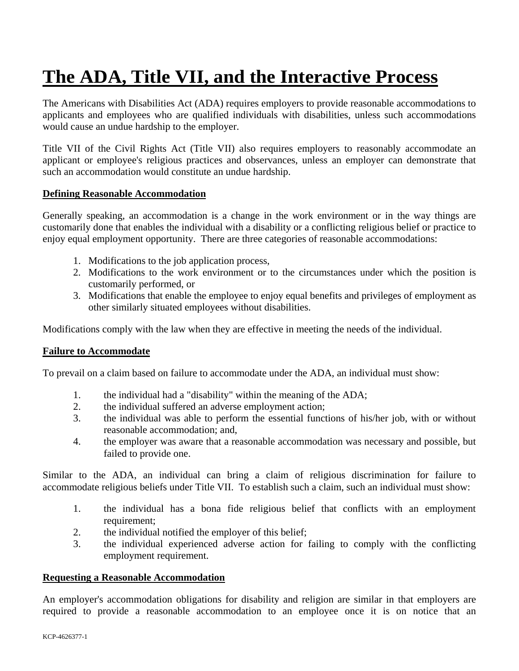# **The ADA, Title VII, and the Interactive Process**

The Americans with Disabilities Act (ADA) requires employers to provide reasonable accommodations to applicants and employees who are qualified individuals with disabilities, unless such accommodations would cause an undue hardship to the employer.

Title VII of the Civil Rights Act (Title VII) also requires employers to reasonably accommodate an applicant or employee's religious practices and observances, unless an employer can demonstrate that such an accommodation would constitute an undue hardship.

# **Defining Reasonable Accommodation**

Generally speaking, an accommodation is a change in the work environment or in the way things are customarily done that enables the individual with a disability or a conflicting religious belief or practice to enjoy equal employment opportunity. There are three categories of reasonable accommodations:

- 1. Modifications to the job application process,
- 2. Modifications to the work environment or to the circumstances under which the position is customarily performed, or
- 3. Modifications that enable the employee to enjoy equal benefits and privileges of employment as other similarly situated employees without disabilities.

Modifications comply with the law when they are effective in meeting the needs of the individual.

### **Failure to Accommodate**

To prevail on a claim based on failure to accommodate under the ADA, an individual must show:

- 1. the individual had a "disability" within the meaning of the ADA;
- 2. the individual suffered an adverse employment action;
- 3. the individual was able to perform the essential functions of his/her job, with or without reasonable accommodation; and,
- 4. the employer was aware that a reasonable accommodation was necessary and possible, but failed to provide one.

Similar to the ADA, an individual can bring a claim of religious discrimination for failure to accommodate religious beliefs under Title VII. To establish such a claim, such an individual must show:

- 1. the individual has a bona fide religious belief that conflicts with an employment requirement;
- 2. the individual notified the employer of this belief;
- 3. the individual experienced adverse action for failing to comply with the conflicting employment requirement.

### **Requesting a Reasonable Accommodation**

An employer's accommodation obligations for disability and religion are similar in that employers are required to provide a reasonable accommodation to an employee once it is on notice that an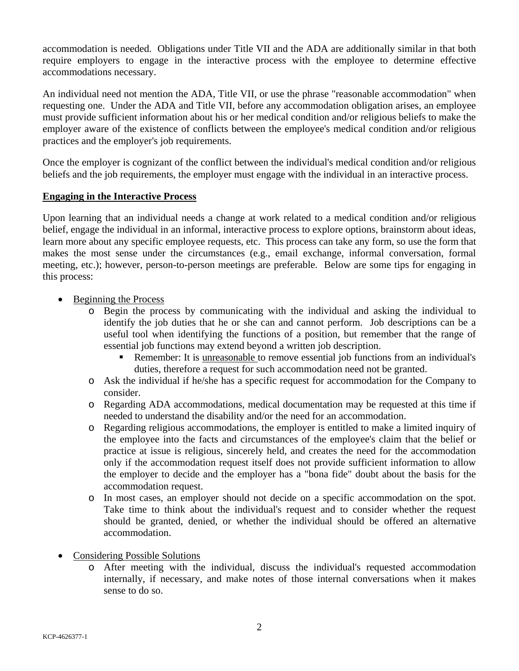accommodation is needed. Obligations under Title VII and the ADA are additionally similar in that both require employers to engage in the interactive process with the employee to determine effective accommodations necessary.

An individual need not mention the ADA, Title VII, or use the phrase "reasonable accommodation" when requesting one. Under the ADA and Title VII, before any accommodation obligation arises, an employee must provide sufficient information about his or her medical condition and/or religious beliefs to make the employer aware of the existence of conflicts between the employee's medical condition and/or religious practices and the employer's job requirements.

Once the employer is cognizant of the conflict between the individual's medical condition and/or religious beliefs and the job requirements, the employer must engage with the individual in an interactive process.

# **Engaging in the Interactive Process**

Upon learning that an individual needs a change at work related to a medical condition and/or religious belief, engage the individual in an informal, interactive process to explore options, brainstorm about ideas, learn more about any specific employee requests, etc. This process can take any form, so use the form that makes the most sense under the circumstances (e.g., email exchange, informal conversation, formal meeting, etc.); however, person-to-person meetings are preferable. Below are some tips for engaging in this process:

- Beginning the Process
	- Begin the process by communicating with the individual and asking the individual to identify the job duties that he or she can and cannot perform. Job descriptions can be a useful tool when identifying the functions of a position, but remember that the range of essential job functions may extend beyond a written job description.
		- Remember: It is unreasonable to remove essential job functions from an individual's duties, therefore a request for such accommodation need not be granted.
	- o Ask the individual if he/she has a specific request for accommodation for the Company to consider.
	- o Regarding ADA accommodations, medical documentation may be requested at this time if needed to understand the disability and/or the need for an accommodation.
	- o Regarding religious accommodations, the employer is entitled to make a limited inquiry of the employee into the facts and circumstances of the employee's claim that the belief or practice at issue is religious, sincerely held, and creates the need for the accommodation only if the accommodation request itself does not provide sufficient information to allow the employer to decide and the employer has a "bona fide" doubt about the basis for the accommodation request.
	- o In most cases, an employer should not decide on a specific accommodation on the spot. Take time to think about the individual's request and to consider whether the request should be granted, denied, or whether the individual should be offered an alternative accommodation.
- Considering Possible Solutions
	- o After meeting with the individual, discuss the individual's requested accommodation internally, if necessary, and make notes of those internal conversations when it makes sense to do so.